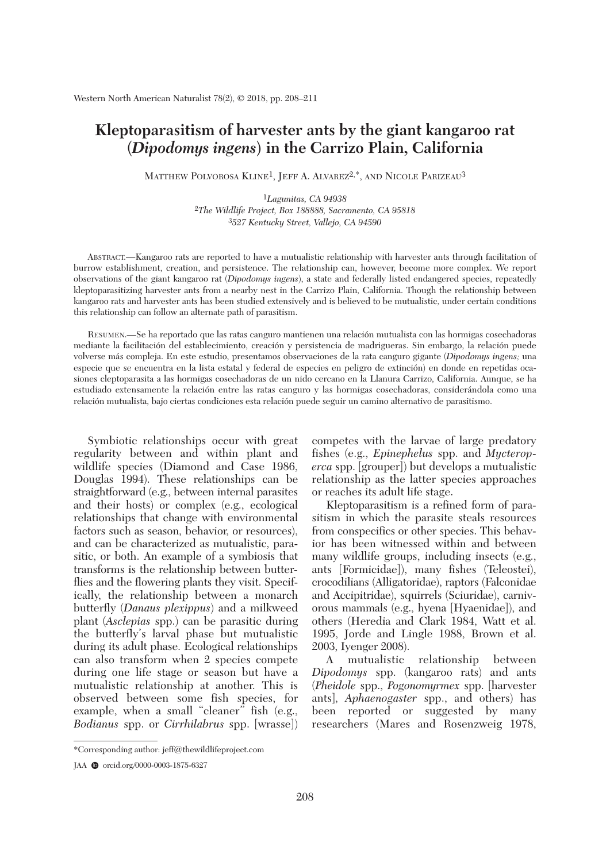## **Kleptoparasitism of harvester ants by the giant kangaroo rat (***Dipodomys ingens***) in the Carrizo Plain, California**

MATTHEW POLVOROSA KLINE<sup>1</sup>, JEFF A. ALVAREZ<sup>2,\*</sup>, AND NICOLE PARIZEAU<sup>3</sup>

1*Lagunitas, CA 94938* 2*The Wildlife Project, Box 188888, Sacramento, CA 95818* 3*527 Kentucky Street, Vallejo, CA 94590*

 ABSTRACT.—Kangaroo rats are reported to have a mutualistic relationship with harvester ants through facilitation of burrow establishment, creation, and persistence. The relationship can, however, become more complex. We report observations of the giant kangaroo rat (*Dipodomys ingens*), a state and federally listed endangered species, repeatedly kleptoparasitizing harvester ants from a nearby nest in the Carrizo Plain, California. Though the relationship between kangaroo rats and harvester ants has been studied extensively and is believed to be mutualistic, under certain conditions this relationship can follow an alternate path of parasitism.

 RESUMEN.—Se ha reportado que las ratas canguro mantienen una relación mutualista con las hormigas cosechadoras mediante la facilitación del establecimiento, creación y persistencia de madrigueras. Sin embargo, la relación puede volverse más compleja. En este estudio, presentamos observaciones de la rata canguro gigante (*Dipodomys ingens;* una especie que se encuentra en la lista estatal y federal de especies en peligro de extinción) en donde en repetidas ocasiones cleptoparasita a las hormigas cosechadoras de un nido cercano en la Llanura Carrizo, California. Aunque, se ha estudiado extensamente la relación entre las ratas canguro y las hormigas cosechadoras, considerándola como una relación mutualista, bajo ciertas condiciones esta relación puede seguir un camino alternativo de parasitismo.

 Symbiotic relationships occur with great regularity between and within plant and wildlife species (Diamond and Case 1986, Douglas 1994). These relationships can be straightforward (e.g., between internal parasites and their hosts) or complex (e.g., ecological relationships that change with environmental factors such as season, behavior, or resources), and can be characterized as mutualistic, parasitic, or both. An example of a symbiosis that transforms is the relationship between butterflies and the flowering plants they visit. Specifically, the relationship between a monarch butterfly (*Danaus plexippus*) and a milkweed plant (*Asclepias* spp.) can be parasitic during the butterfly's larval phase but mutualistic during its adult phase. Ecological relationships can also transform when 2 species compete during one life stage or season but have a mutualistic relationship at another. This is observed between some fish species, for example, when a small "cleaner" fish (e.g., *Bodianus* spp. or *Cirrhilabrus* spp. [wrasse]) competes with the larvae of large predatory fishes (e.g., *Epinephelus* spp. and *Mycteroperca* spp. [grouper]) but develops a mutualistic relationship as the latter species approaches or reaches its adult life stage.

 Kleptoparasitism is a refined form of parasitism in which the parasite steals resources from conspecifics or other species. This behavior has been witnessed within and between many wildlife groups, including insects (e.g., ants [Formicidae]), many fishes (Teleostei), crocodilians (Alligatoridae), raptors (Falconidae and Accipitridae), squirrels (Sciuridae), carnivorous mammals (e.g., hyena [Hyaenidae]), and others (Heredia and Clark 1984, Watt et al. 1995, Jorde and Lingle 1988, Brown et al. 2003, Iyenger 2008).

 A mutualistic relationship between *Dipodomys* spp. (kangaroo rats) and ants (*Pheidole* spp., *Pogonomyrmex* spp. [harvester ants], *Aphaenogaster* spp., and others) has been reported or suggested by many researchers (Mares and Rosenzweig 1978,

<sup>\*</sup>Corresponding author: jeff@thewildlifeproject.com

JAA  $\bullet$  orcid.org/0000-0003-1875-6327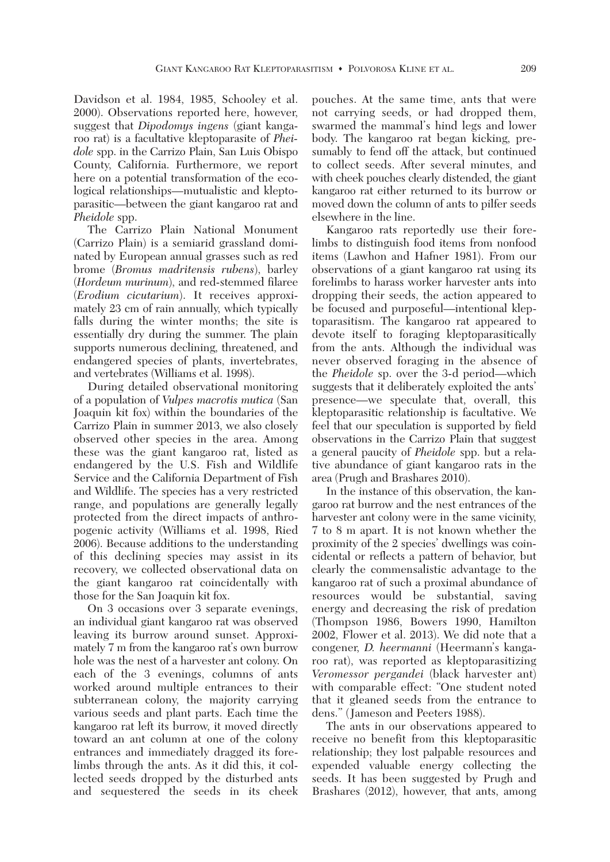Davidson et al. 1984, 1985, Schooley et al. 2000). Observations reported here, however, suggest that *Dipodomys ingens* (giant kangaroo rat) is a facultative kleptoparasite of *Pheidole* spp. in the Carrizo Plain, San Luis Obispo County, California. Furthermore, we report here on a potential transformation of the ecological relationships—mutualistic and kleptoparasitic—between the giant kangaroo rat and *Pheidole* spp.

 The Carrizo Plain National Monument (Carrizo Plain) is a semiarid grassland dominated by European annual grasses such as red brome (*Bromus madritensis rubens*), barley (*Hordeum murinum*), and red-stemmed filaree (*Erodium cicutarium*). It receives approximately 23 cm of rain annually, which typically falls during the winter months; the site is essentially dry during the summer. The plain supports numerous declining, threatened, and endangered species of plants, invertebrates, and vertebrates (Williams et al. 1998).

 During detailed observational monitoring of a population of *Vulpes macrotis mutica* (San Joaquin kit fox) within the boundaries of the Carrizo Plain in summer 2013, we also closely observed other species in the area. Among these was the giant kangaroo rat, listed as endangered by the U.S. Fish and Wildlife Service and the California Department of Fish and Wildlife. The species has a very restricted range, and populations are generally legally protected from the direct impacts of anthropogenic activity (Williams et al. 1998, Ried 2006). Because additions to the understanding of this declining species may assist in its recovery, we collected observational data on the giant kangaroo rat coincidentally with those for the San Joaquin kit fox.

 On 3 occasions over 3 separate evenings, an individual giant kangaroo rat was observed leaving its burrow around sunset. Approximately 7 m from the kangaroo rat's own burrow hole was the nest of a harvester ant colony. On each of the 3 evenings, columns of ants worked around multiple entrances to their subterranean colony, the majority carrying various seeds and plant parts. Each time the kangaroo rat left its burrow, it moved directly toward an ant column at one of the colony entrances and immediately dragged its forelimbs through the ants. As it did this, it collected seeds dropped by the disturbed ants and sequestered the seeds in its cheek pouches. At the same time, ants that were not carrying seeds, or had dropped them, swarmed the mammal's hind legs and lower body. The kangaroo rat began kicking, presumably to fend off the attack, but continued to collect seeds. After several minutes, and with cheek pouches clearly distended, the giant kangaroo rat either returned to its burrow or moved down the column of ants to pilfer seeds elsewhere in the line.

 Kangaroo rats reportedly use their forelimbs to distinguish food items from nonfood items (Lawhon and Hafner 1981). From our observations of a giant kangaroo rat using its forelimbs to harass worker harvester ants into dropping their seeds, the action appeared to be focused and purposeful—intentional kleptoparasitism. The kangaroo rat appeared to devote itself to foraging kleptoparasitically from the ants. Although the individual was never observed foraging in the absence of the *Pheidole* sp. over the 3-d period—which suggests that it deliberately exploited the ants' presence—we speculate that, overall, this kleptoparasitic relationship is facultative. We feel that our speculation is supported by field observations in the Carrizo Plain that suggest a general paucity of *Pheidole* spp. but a relative abundance of giant kangaroo rats in the area (Prugh and Brashares 2010).

 In the instance of this observation, the kangaroo rat burrow and the nest entrances of the harvester ant colony were in the same vicinity, 7 to 8 m apart. It is not known whether the proximity of the 2 species' dwellings was coincidental or reflects a pattern of behavior, but clearly the commensalistic advantage to the kangaroo rat of such a proximal abundance of resources would be substantial, saving energy and decreasing the risk of predation (Thompson 1986, Bowers 1990, Hamilton 2002, Flower et al. 2013). We did note that a congener, *D. heermanni* (Heermann's kangaroo rat), was reported as kleptoparasitizing *Veromessor pergandei* (black harvester ant) with comparable effect: "One student noted that it gleaned seeds from the entrance to dens." (Jameson and Peeters 1988).

 The ants in our observations appeared to receive no benefit from this kleptoparasitic relationship; they lost palpable resources and expended valuable energy collecting the seeds. It has been suggested by Prugh and Brashares (2012), however, that ants, among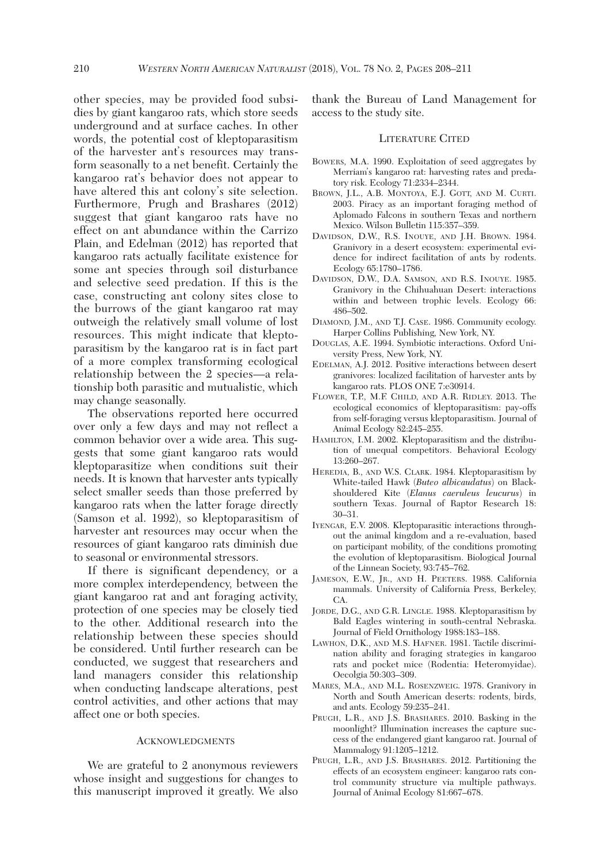other species, may be provided food subsidies by giant kangaroo rats, which store seeds underground and at surface caches. In other words, the potential cost of kleptoparasitism of the harvester ant's resources may transform seasonally to a net benefit. Certainly the kangaroo rat's behavior does not appear to have altered this ant colony's site selection. Furthermore, Prugh and Brashares (2012) suggest that giant kangaroo rats have no effect on ant abundance within the Carrizo Plain, and Edelman (2012) has reported that kangaroo rats actually facilitate existence for some ant species through soil disturbance and selective seed predation. If this is the case, constructing ant colony sites close to the burrows of the giant kangaroo rat may outweigh the relatively small volume of lost resources. This might indicate that kleptoparasitism by the kangaroo rat is in fact part of a more complex transforming ecological relationship between the 2 species—a relationship both parasitic and mutualistic, which may change seasonally.

 The observations reported here occurred over only a few days and may not reflect a common behavior over a wide area. This suggests that some giant kangaroo rats would kleptoparasitize when conditions suit their needs. It is known that harvester ants typically select smaller seeds than those preferred by kangaroo rats when the latter forage directly (Samson et al. 1992), so kleptoparasitism of harvester ant resources may occur when the resources of giant kangaroo rats diminish due to seasonal or environmental stressors.

 If there is significant dependency, or a more complex interdependency, between the giant kangaroo rat and ant foraging activity, protection of one species may be closely tied to the other. Additional research into the relationship between these species should be considered. Until further research can be conducted, we suggest that researchers and land managers consider this relationship when conducting landscape alterations, pest control activities, and other actions that may affect one or both species.

## ACKNOWLEDGMENTS

 We are grateful to 2 anonymous reviewers whose insight and suggestions for changes to this manuscript improved it greatly. We also thank the Bureau of Land Management for access to the study site.

## LITERATURE CITED

- BOWERS, M.A. 1990. Exploitation of seed aggregates by Merriam's kangaroo rat: harvesting rates and predatory risk. Ecology 71:2334–2344.
- BROWN, J.L., A.B. MONTOYA, E.J. GOTT, AND M. CURTI. 2003. Piracy as an important foraging method of Aplomado Falcons in southern Texas and northern Mexico. Wilson Bulletin 115:357–359.
- DAVIDSON, D.W., R.S. INOUYE, AND J.H. BROWN. 1984. Granivory in a desert ecosystem: experimental evidence for indirect facilitation of ants by rodents. Ecology 65:1780–1786.
- DAVIDSON, D.W., D.A. SAMSON, AND R.S. INOUYE. 1985. Granivory in the Chihuahuan Desert: interactions within and between trophic levels. Ecology 66: 486–502.
- DIAMOND, J.M., AND T.J. CASE. 1986. Community ecology. Harper Collins Publishing, New York, NY.
- DOUGLAS, A.E. 1994. Symbiotic interactions. Oxford University Press, New York, NY.
- EDELMAN, A.J. 2012. Positive interactions between desert granivores: localized facilitation of harvester ants by kangaroo rats. PLOS ONE 7:e30914.
- FLOWER, T.P., M.F. CHILD, AND A.R. RIDLEY. 2013. The ecological economics of kleptoparasitism: pay-offs from self-foraging versus kleptoparasitism. Journal of Animal Ecology 82:245–255.
- HAMILTON, I.M. 2002. Kleptoparasitism and the distribution of unequal competitors. Behavioral Ecology 13:260–267.
- HEREDIA, B., AND W.S. CLARK. 1984. Kleptoparasitism by White-tailed Hawk (*Buteo albicaudatus*) on Blackshouldered Kite (*Elanus caeruleus leucurus*) in southern Texas. Journal of Raptor Research 18: 30–31.
- IYENGAR, E.V. 2008. Kleptoparasitic interactions throughout the animal kingdom and a re-evaluation, based on participant mobility, of the conditions promoting the evolution of kleptoparasitism. Biological Journal of the Linnean Society, 93:745–762.
- JAMESON, E.W., JR., AND H. PEETERS. 1988. California mammals. University of California Press, Berkeley, CA.
- JORDE, D.G., AND G.R. LINGLE. 1988. Kleptoparasitism by Bald Eagles wintering in south-central Nebraska. Journal of Field Ornithology 1988:183–188.
- LAWHON, D.K., AND M.S. HAFNER. 1981. Tactile discrimination ability and foraging strategies in kangaroo rats and pocket mice (Rodentia: Heteromyidae). Oecolgia 50:303–309.
- MARES, M.A., AND M.L. ROSENZWEIG. 1978. Granivory in North and South American deserts: rodents, birds, and ants. Ecology 59:235–241.
- PRUGH, L.R., AND J.S. BRASHARES. 2010. Basking in the moonlight? Illumination increases the capture success of the endangered giant kangaroo rat. Journal of Mammalogy 91:1205–1212.
- PRUGH, L.R., AND J.S. BRASHARES. 2012. Partitioning the effects of an ecosystem engineer: kangaroo rats control community structure via multiple pathways. Journal of Animal Ecology 81:667–678.